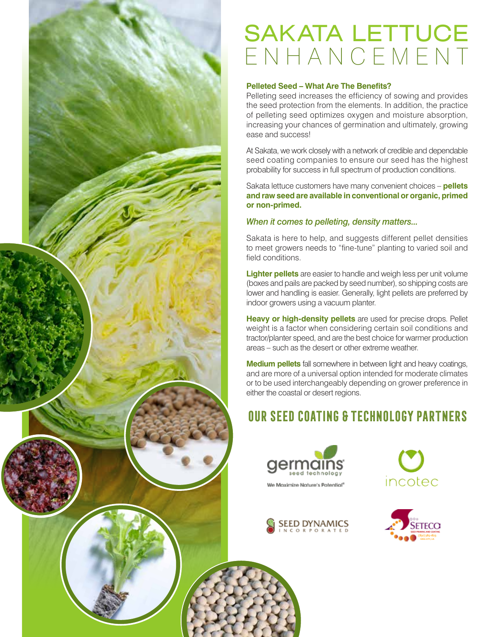

# SAKATA LETTUCE ENHANCEMENT

#### **Pelleted Seed – What Are The Benefits?**

Pelleting seed increases the efficiency of sowing and provides the seed protection from the elements. In addition, the practice of pelleting seed optimizes oxygen and moisture absorption, increasing your chances of germination and ultimately, growing ease and success!

At Sakata, we work closely with a network of credible and dependable seed coating companies to ensure our seed has the highest probability for success in full spectrum of production conditions.

Sakata lettuce customers have many convenient choices – **pellets and raw seed are available in conventional or organic, primed or non-primed.**

#### *When it comes to pelleting, density matters...*

Sakata is here to help, and suggests different pellet densities to meet growers needs to "fine-tune" planting to varied soil and field conditions.

**Lighter pellets** are easier to handle and weigh less per unit volume (boxes and pails are packed by seed number), so shipping costs are lower and handling is easier. Generally, light pellets are preferred by indoor growers using a vacuum planter.

**Heavy or high-density pellets** are used for precise drops. Pellet weight is a factor when considering certain soil conditions and tractor/planter speed, and are the best choice for warmer production areas – such as the desert or other extreme weather.

**Medium pellets** fall somewhere in between light and heavy coatings, and are more of a universal option intended for moderate climates or to be used interchangeably depending on grower preference in either the coastal or desert regions.

## Our Seed Coating & Technology Partners